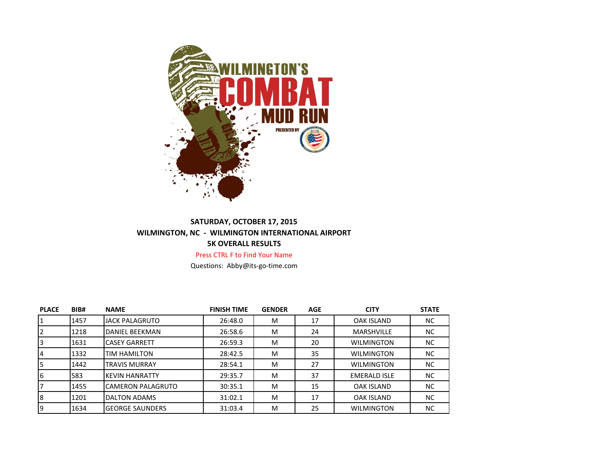

## **SATURDAY, OCTOBER 17, 2015 WILMINGTON, NC - WILMINGTON INTERNATIONAL AIRPORT 5K OVERALL RESULTS**

Press CTRL F to Find Your Name

Questions: Abby@its-go-time.com

| <b>PLACE</b> | BIB# | <b>NAME</b>              | <b>FINISH TIME</b> | <b>GENDER</b> | <b>AGE</b> | <b>CITY</b>         | <b>STATE</b> |
|--------------|------|--------------------------|--------------------|---------------|------------|---------------------|--------------|
|              | 1457 | <b>JACK PALAGRUTO</b>    | 26:48.0            | м             | 17         | <b>OAK ISLAND</b>   | <b>NC</b>    |
|              | 1218 | DANIEL BEEKMAN           | 26:58.6            | M             | 24         | <b>MARSHVILLE</b>   | <b>NC</b>    |
| 3            | 1631 | <b>CASEY GARRETT</b>     | 26:59.3            | м             | 20         | <b>WILMINGTON</b>   | <b>NC</b>    |
| 14           | 1332 | <b>TIM HAMILTON</b>      | 28:42.5            | M             | 35         | <b>WILMINGTON</b>   | <b>NC</b>    |
| l5           | 1442 | <b>TRAVIS MURRAY</b>     | 28:54.1            | M             | 27         | <b>WILMINGTON</b>   | <b>NC</b>    |
| I6           | 583  | IKEVIN HANRATTY          | 29:35.7            | м             | 37         | <b>EMERALD ISLE</b> | <b>NC</b>    |
|              | 1455 | <b>CAMERON PALAGRUTO</b> | 30:35.1            | M             | 15         | <b>OAK ISLAND</b>   | <b>NC</b>    |
| 8            | 1201 | <b>DALTON ADAMS</b>      | 31:02.1            | м             | 17         | OAK ISLAND          | <b>NC</b>    |
| 19           | 1634 | <b>GEORGE SAUNDERS</b>   | 31:03.4            | M             | 25         | <b>WILMINGTON</b>   | <b>NC</b>    |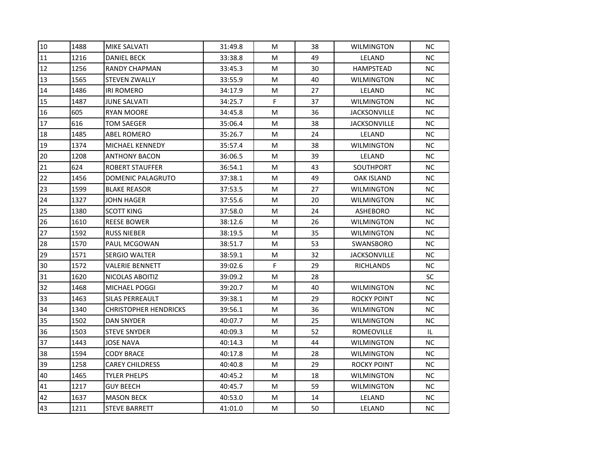| 10 | 1488 | <b>MIKE SALVATI</b>          | 31:49.8 | M  | 38 | <b>WILMINGTON</b>   | NC. |
|----|------|------------------------------|---------|----|----|---------------------|-----|
| 11 | 1216 | <b>DANIEL BECK</b>           | 33:38.8 | M  | 49 | LELAND              | NC. |
| 12 | 1256 | <b>RANDY CHAPMAN</b>         | 33:45.3 | M  | 30 | HAMPSTEAD           | NC. |
| 13 | 1565 | <b>STEVEN ZWALLY</b>         | 33:55.9 | M  | 40 | <b>WILMINGTON</b>   | NC. |
| 14 | 1486 | <b>IRI ROMERO</b>            | 34:17.9 | м  | 27 | LELAND              | NC. |
| 15 | 1487 | <b>JUNE SALVATI</b>          | 34:25.7 | F. | 37 | <b>WILMINGTON</b>   | NC. |
| 16 | 605  | <b>RYAN MOORE</b>            | 34:45.8 | M  | 36 | <b>JACKSONVILLE</b> | NC. |
| 17 | 616  | <b>TOM SAEGER</b>            | 35:06.4 | M  | 38 | <b>JACKSONVILLE</b> | NC  |
| 18 | 1485 | ABEL ROMERO                  | 35:26.7 | M  | 24 | LELAND              | NC. |
| 19 | 1374 | <b>MICHAEL KENNEDY</b>       | 35:57.4 | M  | 38 | <b>WILMINGTON</b>   | NC. |
| 20 | 1208 | <b>ANTHONY BACON</b>         | 36:06.5 | м  | 39 | LELAND              | NC. |
| 21 | 624  | <b>ROBERT STAUFFER</b>       | 36:54.1 | M  | 43 | SOUTHPORT           | NC. |
| 22 | 1456 | DOMENIC PALAGRUTO            | 37:38.1 | M  | 49 | OAK ISLAND          | NC  |
| 23 | 1599 | <b>BLAKE REASOR</b>          | 37:53.5 | M  | 27 | <b>WILMINGTON</b>   | NC. |
| 24 | 1327 | <b>JOHN HAGER</b>            | 37:55.6 | м  | 20 | <b>WILMINGTON</b>   | NC. |
| 25 | 1380 | SCOTT KING                   | 37:58.0 | M  | 24 | ASHEBORO            | NC. |
| 26 | 1610 | REESE BOWER                  | 38:12.6 | М  | 26 | <b>WILMINGTON</b>   | NC. |
| 27 | 1592 | <b>RUSS NIEBER</b>           | 38:19.5 | M  | 35 | <b>WILMINGTON</b>   | NC. |
| 28 | 1570 | <b>PAUL MCGOWAN</b>          | 38:51.7 | M  | 53 | SWANSBORO           | NC. |
| 29 | 1571 | <b>SERGIO WALTER</b>         | 38:59.1 | M  | 32 | <b>JACKSONVILLE</b> | NC. |
| 30 | 1572 | VALERIE BENNETT              | 39:02.6 | F. | 29 | <b>RICHLANDS</b>    | NC. |
| 31 | 1620 | NICOLAS ABOITIZ              | 39:09.2 | M  | 28 |                     | SC  |
| 32 | 1468 | <b>MICHAEL POGGI</b>         | 39:20.7 | M  | 40 | <b>WILMINGTON</b>   | NC. |
| 33 | 1463 | <b>SILAS PERREAULT</b>       | 39:38.1 | M  | 29 | ROCKY POINT         | NC. |
| 34 | 1340 | <b>CHRISTOPHER HENDRICKS</b> | 39:56.1 | M  | 36 | <b>WILMINGTON</b>   | NC. |
| 35 | 1502 | DAN SNYDER                   | 40:07.7 | M  | 25 | <b>WILMINGTON</b>   | NC. |
| 36 | 1503 | <b>STEVE SNYDER</b>          | 40:09.3 | м  | 52 | ROMEOVILLE          | IL. |
| 37 | 1443 | <b>JOSE NAVA</b>             | 40:14.3 | M  | 44 | <b>WILMINGTON</b>   | NC. |
| 38 | 1594 | <b>CODY BRACE</b>            | 40:17.8 | M  | 28 | <b>WILMINGTON</b>   | NC. |
| 39 | 1258 | <b>CAREY CHILDRESS</b>       | 40:40.8 | M  | 29 | ROCKY POINT         | NC. |
| 40 | 1465 | <b>TYLER PHELPS</b>          | 40:45.2 | M  | 18 | <b>WILMINGTON</b>   | NC. |
| 41 | 1217 | <b>GUY BEECH</b>             | 40:45.7 | м  | 59 | <b>WILMINGTON</b>   | NC. |
| 42 | 1637 | <b>MASON BECK</b>            | 40:53.0 | М  | 14 | LELAND              | NC. |
| 43 | 1211 | <b>STEVE BARRETT</b>         | 41:01.0 | М  | 50 | LELAND              | NC. |
|    |      |                              |         |    |    |                     |     |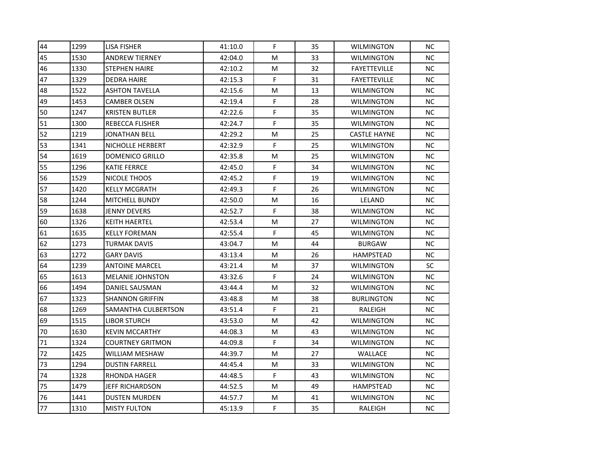| 44 | 1299 | <b>LISA FISHER</b>      | 41:10.0 | F. | 35 | <b>WILMINGTON</b>   | <b>NC</b> |
|----|------|-------------------------|---------|----|----|---------------------|-----------|
| 45 | 1530 | <b>ANDREW TIERNEY</b>   | 42:04.0 | М  | 33 | <b>WILMINGTON</b>   | NC.       |
| 46 | 1330 | <b>STEPHEN HAIRE</b>    | 42:10.2 | М  | 32 | <b>FAYETTEVILLE</b> | NC.       |
| 47 | 1329 | DEDRA HAIRE             | 42:15.3 | F. | 31 | <b>FAYETTEVILLE</b> | NC.       |
| 48 | 1522 | <b>ASHTON TAVELLA</b>   | 42:15.6 | М  | 13 | <b>WILMINGTON</b>   | NC.       |
| 49 | 1453 | <b>CAMBER OLSEN</b>     | 42:19.4 | F. | 28 | <b>WILMINGTON</b>   | NC.       |
| 50 | 1247 | <b>KRISTEN BUTLER</b>   | 42:22.6 | F  | 35 | <b>WILMINGTON</b>   | NC.       |
| 51 | 1300 | REBECCA FLISHER         | 42:24.7 | F  | 35 | <b>WILMINGTON</b>   | NC.       |
| 52 | 1219 | JONATHAN BELL           | 42:29.2 | М  | 25 | <b>CASTLE HAYNE</b> | NC.       |
| 53 | 1341 | NICHOLLE HERBERT        | 42:32.9 | F. | 25 | <b>WILMINGTON</b>   | NC.       |
| 54 | 1619 | DOMENICO GRILLO         | 42:35.8 | M  | 25 | <b>WILMINGTON</b>   | NC.       |
| 55 | 1296 | <b>KATIE FERRCE</b>     | 42:45.0 | F  | 34 | <b>WILMINGTON</b>   | NC.       |
| 56 | 1529 | NICOLE THOOS            | 42:45.2 | F. | 19 | <b>WILMINGTON</b>   | NC.       |
| 57 | 1420 | <b>KELLY MCGRATH</b>    | 42:49.3 | F  | 26 | <b>WILMINGTON</b>   | NC.       |
| 58 | 1244 | <b>MITCHELL BUNDY</b>   | 42:50.0 | М  | 16 | LELAND              | NC.       |
| 59 | 1638 | JENNY DEVERS            | 42:52.7 | F. | 38 | <b>WILMINGTON</b>   | NC.       |
| 60 | 1326 | KEITH HAERTEL           | 42:53.4 | М  | 27 | WILMINGTON          | NC.       |
| 61 | 1635 | <b>KELLY FOREMAN</b>    | 42:55.4 | F  | 45 | <b>WILMINGTON</b>   | NC.       |
| 62 | 1273 | <b>TURMAK DAVIS</b>     | 43:04.7 | М  | 44 | <b>BURGAW</b>       | NC        |
| 63 | 1272 | <b>GARY DAVIS</b>       | 43:13.4 | м  | 26 | HAMPSTEAD           | NC.       |
| 64 | 1239 | <b>ANTOINE MARCEL</b>   | 43:21.4 | М  | 37 | <b>WILMINGTON</b>   | SC        |
| 65 | 1613 | <b>MELANIE JOHNSTON</b> | 43:32.6 | F. | 24 | <b>WILMINGTON</b>   | NC        |
| 66 | 1494 | DANIEL SAUSMAN          | 43:44.4 | м  | 32 | <b>WILMINGTON</b>   | NC.       |
| 67 | 1323 | <b>SHANNON GRIFFIN</b>  | 43:48.8 | М  | 38 | <b>BURLINGTON</b>   | NC.       |
| 68 | 1269 | SAMANTHA CULBERTSON     | 43:51.4 | F  | 21 | RALEIGH             | NC        |
| 69 | 1515 | <b>LIBOR STURCH</b>     | 43:53.0 | М  | 42 | <b>WILMINGTON</b>   | <b>NC</b> |
| 70 | 1630 | <b>KEVIN MCCARTHY</b>   | 44:08.3 | М  | 43 | <b>WILMINGTON</b>   | NC.       |
| 71 | 1324 | <b>COURTNEY GRITMON</b> | 44:09.8 | F  | 34 | WILMINGTON          | NC.       |
| 72 | 1425 | WILLIAM MESHAW          | 44:39.7 | М  | 27 | WALLACE             | NC.       |
| 73 | 1294 | <b>DUSTIN FARRELL</b>   | 44:45.4 | М  | 33 | WILMINGTON          | NC        |
| 74 | 1328 | RHONDA HAGER            | 44:48.5 | F. | 43 | <b>WILMINGTON</b>   | NC.       |
| 75 | 1479 | JEFF RICHARDSON         | 44:52.5 | М  | 49 | HAMPSTEAD           | <b>NC</b> |
| 76 | 1441 | <b>DUSTEN MURDEN</b>    | 44:57.7 | М  | 41 | WILMINGTON          | NC.       |
| 77 | 1310 | <b>MISTY FULTON</b>     | 45:13.9 | F. | 35 | RALEIGH             | NC.       |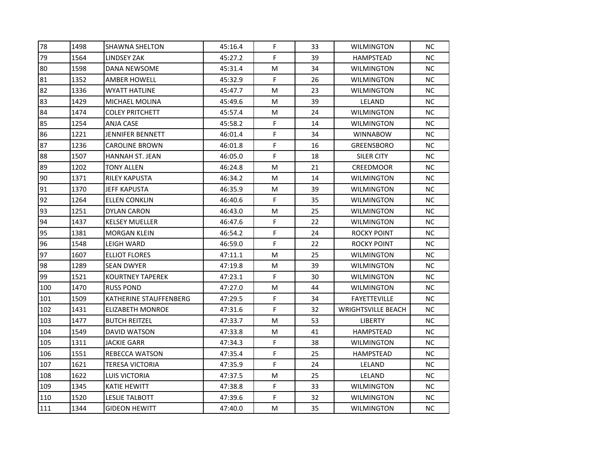| 78  | 1498 | <b>SHAWNA SHELTON</b>   | 45:16.4 | F  | 33 | <b>WILMINGTON</b>         | NC. |
|-----|------|-------------------------|---------|----|----|---------------------------|-----|
| 79  | 1564 | <b>LINDSEY ZAK</b>      | 45:27.2 | F. | 39 | HAMPSTEAD                 | NC. |
| 80  | 1598 | DANA NEWSOME            | 45:31.4 | м  | 34 | <b>WILMINGTON</b>         | NC. |
| 81  | 1352 | AMBER HOWELL            | 45:32.9 | F  | 26 | <b>WILMINGTON</b>         | NC. |
| 82  | 1336 | <b>WYATT HATLINE</b>    | 45:47.7 | M  | 23 | <b>WILMINGTON</b>         | NC. |
| 83  | 1429 | MICHAEL MOLINA          | 45:49.6 | м  | 39 | LELAND                    | NC. |
| 84  | 1474 | <b>COLEY PRITCHETT</b>  | 45:57.4 | M  | 24 | <b>WILMINGTON</b>         | NC. |
| 85  | 1254 | <b>ANJA CASE</b>        | 45:58.2 | F  | 14 | <b>WILMINGTON</b>         | NC. |
| 86  | 1221 | JENNIFER BENNETT        | 46:01.4 | F  | 34 | <b>WINNABOW</b>           | NC. |
| 87  | 1236 | <b>CAROLINE BROWN</b>   | 46:01.8 | F  | 16 | GREENSBORO                | NC. |
| 88  | 1507 | HANNAH ST. JEAN         | 46:05.0 | F. | 18 | SILER CITY                | NC. |
| 89  | 1202 | <b>TONY ALLEN</b>       | 46:24.8 | M  | 21 | <b>CREEDMOOR</b>          | NC. |
| 90  | 1371 | <b>RILEY KAPUSTA</b>    | 46:34.2 | M  | 14 | <b>WILMINGTON</b>         | NC. |
| 91  | 1370 | <b>JEFF KAPUSTA</b>     | 46:35.9 | M  | 39 | <b>WILMINGTON</b>         | NC. |
| 92  | 1264 | <b>ELLEN CONKLIN</b>    | 46:40.6 | F. | 35 | <b>WILMINGTON</b>         | NC. |
| 93  | 1251 | DYLAN CARON             | 46:43.0 | M  | 25 | <b>WILMINGTON</b>         | NC. |
| 94  | 1437 | <b>KELSEY MUELLER</b>   | 46:47.6 | F  | 22 | <b>WILMINGTON</b>         | NC. |
| 95  | 1381 | <b>MORGAN KLEIN</b>     | 46:54.2 | F. | 24 | ROCKY POINT               | NC. |
| 96  | 1548 | <b>LEIGH WARD</b>       | 46:59.0 | F  | 22 | <b>ROCKY POINT</b>        | NC. |
| 97  | 1607 | ELLIOT FLORES           | 47:11.1 | M  | 25 | <b>WILMINGTON</b>         | NC. |
| 98  | 1289 | <b>SEAN DWYER</b>       | 47:19.8 | M  | 39 | <b>WILMINGTON</b>         | NC. |
| 99  | 1521 | <b>KOURTNEY TAPEREK</b> | 47:23.1 | F. | 30 | <b>WILMINGTON</b>         | NC  |
| 100 | 1470 | <b>RUSS POND</b>        | 47:27.0 | M  | 44 | <b>WILMINGTON</b>         | NC. |
| 101 | 1509 | KATHERINE STAUFFENBERG  | 47:29.5 | F. | 34 | <b>FAYETTEVILLE</b>       | NC. |
| 102 | 1431 | <b>ELIZABETH MONROE</b> | 47:31.6 | F  | 32 | <b>WRIGHTSVILLE BEACH</b> | NC. |
| 103 | 1477 | <b>BUTCH REITZEL</b>    | 47:33.7 | M  | 53 | <b>LIBERTY</b>            | NC  |
| 104 | 1549 | DAVID WATSON            | 47:33.8 | М  | 41 | HAMPSTEAD                 | NC. |
| 105 | 1311 | <b>JACKIE GARR</b>      | 47:34.3 | F  | 38 | <b>WILMINGTON</b>         | NC. |
| 106 | 1551 | <b>REBECCA WATSON</b>   | 47:35.4 | F  | 25 | HAMPSTEAD                 | NC. |
| 107 | 1621 | <b>TERESA VICTORIA</b>  | 47:35.9 | F  | 24 | LELAND                    | NC. |
| 108 | 1622 | <b>LUIS VICTORIA</b>    | 47:37.5 | M  | 25 | LELAND                    | NC. |
| 109 | 1345 | KATIE HEWITT            | 47:38.8 | F. | 33 | <b>WILMINGTON</b>         | NC. |
| 110 | 1520 | <b>LESLIE TALBOTT</b>   | 47:39.6 | F  | 32 | <b>WILMINGTON</b>         | NC. |
| 111 | 1344 | <b>GIDEON HEWITT</b>    | 47:40.0 | M  | 35 | <b>WILMINGTON</b>         | NC  |
|     |      |                         |         |    |    |                           |     |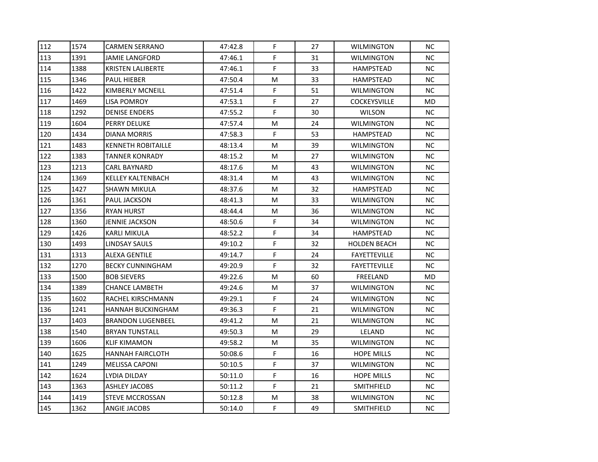| 112 | 1574 | <b>CARMEN SERRANO</b>     | 47:42.8 | F. | 27 | <b>WILMINGTON</b>   | NС        |
|-----|------|---------------------------|---------|----|----|---------------------|-----------|
| 113 | 1391 | JAMIE LANGFORD            | 47:46.1 | F  | 31 | <b>WILMINGTON</b>   | NC.       |
| 114 | 1388 | <b>KRISTEN LALIBERTE</b>  | 47:46.1 | F  | 33 | HAMPSTEAD           | NC.       |
| 115 | 1346 | PAUL HIEBER               | 47:50.4 | М  | 33 | HAMPSTEAD           | NC.       |
| 116 | 1422 | KIMBERLY MCNEILL          | 47:51.4 | F  | 51 | <b>WILMINGTON</b>   | NC.       |
| 117 | 1469 | LISA POMROY               | 47:53.1 | F  | 27 | <b>COCKEYSVILLE</b> | MD        |
| 118 | 1292 | <b>DENISE ENDERS</b>      | 47:55.2 | F  | 30 | <b>WILSON</b>       | NC.       |
| 119 | 1604 | PERRY DELUKE              | 47:57.4 | М  | 24 | WILMINGTON          | NC.       |
| 120 | 1434 | DIANA MORRIS              | 47:58.3 | F  | 53 | HAMPSTEAD           | NC.       |
| 121 | 1483 | <b>KENNETH ROBITAILLE</b> | 48:13.4 | М  | 39 | WILMINGTON          | <b>NC</b> |
| 122 | 1383 | <b>TANNER KONRADY</b>     | 48:15.2 | М  | 27 | <b>WILMINGTON</b>   | NC.       |
| 123 | 1213 | <b>CARL BAYNARD</b>       | 48:17.6 | М  | 43 | <b>WILMINGTON</b>   | NC.       |
| 124 | 1369 | KELLEY KALTENBACH         | 48:31.4 | М  | 43 | WILMINGTON          | NC.       |
| 125 | 1427 | SHAWN MIKULA              | 48:37.6 | М  | 32 | HAMPSTEAD           | NC.       |
| 126 | 1361 | PAUL JACKSON              | 48:41.3 | М  | 33 | WILMINGTON          | NC.       |
| 127 | 1356 | <b>RYAN HURST</b>         | 48:44.4 | М  | 36 | <b>WILMINGTON</b>   | NC.       |
| 128 | 1360 | JENNIE JACKSON            | 48:50.6 | F  | 34 | <b>WILMINGTON</b>   | NC.       |
| 129 | 1426 | KARLI MIKULA              | 48:52.2 | F  | 34 | HAMPSTEAD           | NC.       |
| 130 | 1493 | LINDSAY SAULS             | 49:10.2 | F  | 32 | <b>HOLDEN BEACH</b> | NC.       |
| 131 | 1313 | ALEXA GENTILE             | 49:14.7 | F. | 24 | <b>FAYETTEVILLE</b> | NC.       |
| 132 | 1270 | <b>BECKY CUNNINGHAM</b>   | 49:20.9 | F  | 32 | <b>FAYETTEVILLE</b> | <b>NC</b> |
| 133 | 1500 | <b>BOB SIEVERS</b>        | 49:22.6 | М  | 60 | FREELAND            | MD        |
| 134 | 1389 | <b>CHANCE LAMBETH</b>     | 49:24.6 | М  | 37 | WILMINGTON          | NC.       |
| 135 | 1602 | RACHEL KIRSCHMANN         | 49:29.1 | F. | 24 | <b>WILMINGTON</b>   | NC.       |
| 136 | 1241 | HANNAH BUCKINGHAM         | 49:36.3 | F  | 21 | <b>WILMINGTON</b>   | NC.       |
| 137 | 1403 | <b>BRANDON LUGENBEEL</b>  | 49:41.2 | М  | 21 | WILMINGTON          | NC.       |
| 138 | 1540 | <b>BRYAN TUNSTALL</b>     | 49:50.3 | М  | 29 | LELAND              | NC.       |
| 139 | 1606 | KLIF KIMAMON              | 49:58.2 | М  | 35 | <b>WILMINGTON</b>   | NC.       |
| 140 | 1625 | <b>HANNAH FAIRCLOTH</b>   | 50:08.6 | F  | 16 | <b>HOPE MILLS</b>   | NC.       |
| 141 | 1249 | <b>MELISSA CAPONI</b>     | 50:10.5 | F  | 37 | WILMINGTON          | NC.       |
| 142 | 1624 | LYDIA DILDAY              | 50:11.0 | F. | 16 | <b>HOPE MILLS</b>   | NC.       |
| 143 | 1363 | <b>ASHLEY JACOBS</b>      | 50:11.2 | F  | 21 | SMITHFIELD          | <b>NC</b> |
| 144 | 1419 | <b>STEVE MCCROSSAN</b>    | 50:12.8 | м  | 38 | WILMINGTON          | NC.       |
| 145 | 1362 | ANGIE JACOBS              | 50:14.0 | F. | 49 | SMITHFIELD          | NC.       |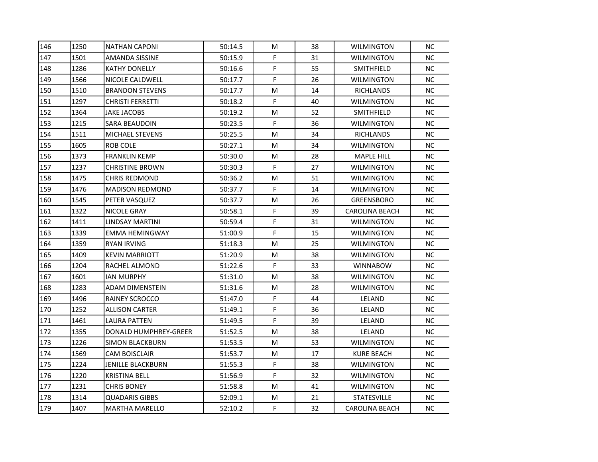| 146 | 1250 | <b>NATHAN CAPONI</b>     | 50:14.5 | м  | 38 | <b>WILMINGTON</b>     | NC. |
|-----|------|--------------------------|---------|----|----|-----------------------|-----|
| 147 | 1501 | AMANDA SISSINE           | 50:15.9 | F  | 31 | <b>WILMINGTON</b>     | NC. |
| 148 | 1286 | <b>KATHY DONELLY</b>     | 50:16.6 | F  | 55 | SMITHFIELD            | NC. |
| 149 | 1566 | NICOLE CALDWELL          | 50:17.7 | F  | 26 | <b>WILMINGTON</b>     | NC. |
| 150 | 1510 | <b>BRANDON STEVENS</b>   | 50:17.7 | м  | 14 | <b>RICHLANDS</b>      | NC. |
| 151 | 1297 | <b>CHRISTI FERRETTI</b>  | 50:18.2 | F  | 40 | WILMINGTON            | NC. |
| 152 | 1364 | <b>JAKE JACOBS</b>       | 50:19.2 | M  | 52 | SMITHFIELD            | NC. |
| 153 | 1215 | <b>SARA BEAUDOIN</b>     | 50:23.5 | F  | 36 | <b>WILMINGTON</b>     | NC  |
| 154 | 1511 | <b>MICHAEL STEVENS</b>   | 50:25.5 | Μ  | 34 | <b>RICHLANDS</b>      | NC. |
| 155 | 1605 | ROB COLE                 | 50:27.1 | м  | 34 | <b>WILMINGTON</b>     | NC. |
| 156 | 1373 | <b>FRANKLIN KEMP</b>     | 50:30.0 | М  | 28 | <b>MAPLE HILL</b>     | NC. |
| 157 | 1237 | <b>CHRISTINE BROWN</b>   | 50:30.3 | F. | 27 | <b>WILMINGTON</b>     | NC. |
| 158 | 1475 | <b>CHRIS REDMOND</b>     | 50:36.2 | м  | 51 | <b>WILMINGTON</b>     | NC  |
| 159 | 1476 | <b>MADISON REDMOND</b>   | 50:37.7 | F  | 14 | <b>WILMINGTON</b>     | NC. |
| 160 | 1545 | PETER VASQUEZ            | 50:37.7 | Μ  | 26 | <b>GREENSBORO</b>     | NC. |
| 161 | 1322 | NICOLE GRAY              | 50:58.1 | F  | 39 | CAROLINA BEACH        | NC. |
| 162 | 1411 | LINDSAY MARTINI          | 50:59.4 | F  | 31 | <b>WILMINGTON</b>     | NC. |
| 163 | 1339 | EMMA HEMINGWAY           | 51:00.9 | F  | 15 | <b>WILMINGTON</b>     | NC. |
| 164 | 1359 | <b>RYAN IRVING</b>       | 51:18.3 | M  | 25 | <b>WILMINGTON</b>     | NC. |
| 165 | 1409 | <b>KEVIN MARRIOTT</b>    | 51:20.9 | Μ  | 38 | <b>WILMINGTON</b>     | NC. |
| 166 | 1204 | RACHEL ALMOND            | 51:22.6 | F. | 33 | <b>WINNABOW</b>       | NC. |
| 167 | 1601 | <b>IAN MURPHY</b>        | 51:31.0 | M  | 38 | <b>WILMINGTON</b>     | NC  |
| 168 | 1283 | <b>ADAM DIMENSTEIN</b>   | 51:31.6 | м  | 28 | <b>WILMINGTON</b>     | NC. |
| 169 | 1496 | RAINEY SCROCCO           | 51:47.0 | F  | 44 | LELAND                | NC. |
| 170 | 1252 | <b>ALLISON CARTER</b>    | 51:49.1 | F  | 36 | LELAND                | NC. |
| 171 | 1461 | LAURA PATTEN             | 51:49.5 | F  | 39 | LELAND                | NC. |
| 172 | 1355 | DONALD HUMPHREY-GREER    | 51:52.5 | м  | 38 | LELAND                | NC. |
| 173 | 1226 | <b>SIMON BLACKBURN</b>   | 51:53.5 | M  | 53 | <b>WILMINGTON</b>     | NC. |
| 174 | 1569 | <b>CAM BOISCLAIR</b>     | 51:53.7 | M  | 17 | KURE BEACH            | NC. |
| 175 | 1224 | <b>JENILLE BLACKBURN</b> | 51:55.3 | F  | 38 | <b>WILMINGTON</b>     | NC. |
| 176 | 1220 | <b>KRISTINA BELL</b>     | 51:56.9 | F. | 32 | <b>WILMINGTON</b>     | NC. |
| 177 | 1231 | <b>CHRIS BONEY</b>       | 51:58.8 | м  | 41 | <b>WILMINGTON</b>     | NC. |
| 178 | 1314 | <b>QUADARIS GIBBS</b>    | 52:09.1 | M  | 21 | <b>STATESVILLE</b>    | NC. |
| 179 | 1407 | <b>MARTHA MARELLO</b>    | 52:10.2 | F  | 32 | <b>CAROLINA BEACH</b> | NC. |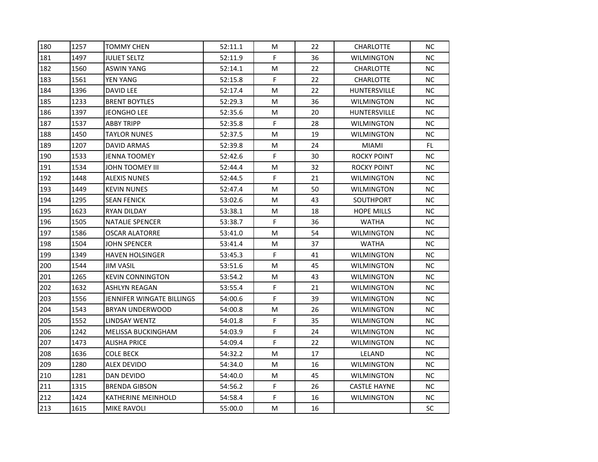| 180 | 1257 | <b>TOMMY CHEN</b>         | 52:11.1 | М  | 22 | <b>CHARLOTTE</b>    | NC.       |
|-----|------|---------------------------|---------|----|----|---------------------|-----------|
| 181 | 1497 | <b>JULIET SELTZ</b>       | 52:11.9 | F. | 36 | <b>WILMINGTON</b>   | NC.       |
| 182 | 1560 | <b>ASWIN YANG</b>         | 52:14.1 | М  | 22 | <b>CHARLOTTE</b>    | NC.       |
| 183 | 1561 | YEN YANG                  | 52:15.8 | F  | 22 | <b>CHARLOTTE</b>    | NC.       |
| 184 | 1396 | DAVID LEE                 | 52:17.4 | M  | 22 | <b>HUNTERSVILLE</b> | NC.       |
| 185 | 1233 | <b>BRENT BOYTLES</b>      | 52:29.3 | М  | 36 | <b>WILMINGTON</b>   | NC.       |
| 186 | 1397 | <b>JEONGHO LEE</b>        | 52:35.6 | М  | 20 | <b>HUNTERSVILLE</b> | NC.       |
| 187 | 1537 | <b>ABBY TRIPP</b>         | 52:35.8 | F  | 28 | <b>WILMINGTON</b>   | NC.       |
| 188 | 1450 | <b>TAYLOR NUNES</b>       | 52:37.5 | М  | 19 | <b>WILMINGTON</b>   | NC.       |
| 189 | 1207 | DAVID ARMAS               | 52:39.8 | M  | 24 | <b>MIAMI</b>        | FL.       |
| 190 | 1533 | JENNA TOOMEY              | 52:42.6 | F. | 30 | ROCKY POINT         | NC.       |
| 191 | 1534 | JOHN TOOMEY III           | 52:44.4 | М  | 32 | ROCKY POINT         | NC.       |
| 192 | 1448 | <b>ALEXIS NUNES</b>       | 52:44.5 | F. | 21 | <b>WILMINGTON</b>   | NC.       |
| 193 | 1449 | <b>KEVIN NUNES</b>        | 52:47.4 | М  | 50 | <b>WILMINGTON</b>   | NC.       |
| 194 | 1295 | <b>SEAN FENICK</b>        | 53:02.6 | М  | 43 | <b>SOUTHPORT</b>    | <b>NC</b> |
| 195 | 1623 | RYAN DILDAY               | 53:38.1 | М  | 18 | <b>HOPE MILLS</b>   | NC.       |
| 196 | 1505 | <b>NATALIE SPENCER</b>    | 53:38.7 | F  | 36 | <b>WATHA</b>        | NC.       |
| 197 | 1586 | <b>OSCAR ALATORRE</b>     | 53:41.0 | M  | 54 | <b>WILMINGTON</b>   | NC        |
| 198 | 1504 | <b>JOHN SPENCER</b>       | 53:41.4 | М  | 37 | <b>WATHA</b>        | NC.       |
| 199 | 1349 | <b>HAVEN HOLSINGER</b>    | 53:45.3 | F. | 41 | <b>WILMINGTON</b>   | <b>NC</b> |
| 200 | 1544 | JIM VASIL                 | 53:51.6 | M  | 45 | <b>WILMINGTON</b>   | NC        |
| 201 | 1265 | <b>KEVIN CONNINGTON</b>   | 53:54.2 | M  | 43 | <b>WILMINGTON</b>   | NC.       |
| 202 | 1632 | <b>ASHLYN REAGAN</b>      | 53:55.4 | F  | 21 | <b>WILMINGTON</b>   | NC.       |
| 203 | 1556 | JENNIFER WINGATE BILLINGS | 54:00.6 | F  | 39 | <b>WILMINGTON</b>   | NC.       |
| 204 | 1543 | BRYAN UNDERWOOD           | 54:00.8 | М  | 26 | <b>WILMINGTON</b>   | NC.       |
| 205 | 1552 | LINDSAY WENTZ             | 54:01.8 | F  | 35 | WILMINGTON          | NC.       |
| 206 | 1242 | <b>MELISSA BUCKINGHAM</b> | 54:03.9 | F  | 24 | <b>WILMINGTON</b>   | NC.       |
| 207 | 1473 | <b>ALISHA PRICE</b>       | 54:09.4 | F  | 22 | <b>WILMINGTON</b>   | NC.       |
| 208 | 1636 | <b>COLE BECK</b>          | 54:32.2 | М  | 17 | LELAND              | NC.       |
| 209 | 1280 | ALEX DEVIDO               | 54:34.0 | М  | 16 | <b>WILMINGTON</b>   | NC.       |
| 210 | 1281 | DAN DEVIDO                | 54:40.0 | М  | 45 | <b>WILMINGTON</b>   | NC.       |
| 211 | 1315 | <b>BRENDA GIBSON</b>      | 54:56.2 | F  | 26 | <b>CASTLE HAYNE</b> | NC.       |
| 212 | 1424 | <b>KATHERINE MEINHOLD</b> | 54:58.4 | F  | 16 | <b>WILMINGTON</b>   | NC.       |
| 213 | 1615 | <b>MIKE RAVOLI</b>        | 55:00.0 | М  | 16 |                     | SC        |
|     |      |                           |         |    |    |                     |           |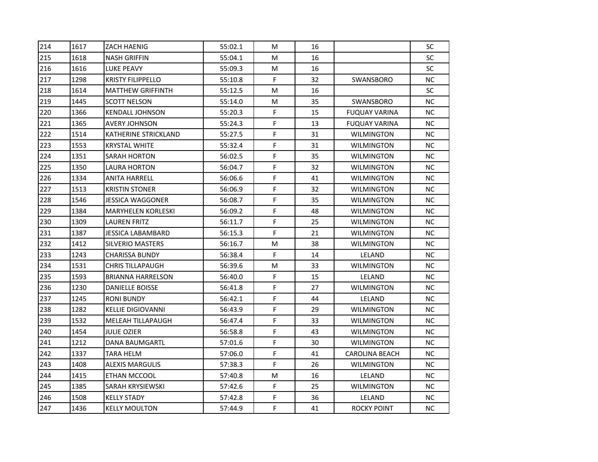| 214 | 1617 | <b>ZACH HAENIG</b>          | 55:02.1 | м  | 16 |                      | SC        |
|-----|------|-----------------------------|---------|----|----|----------------------|-----------|
| 215 | 1618 | <b>NASH GRIFFIN</b>         | 55:04.1 | м  | 16 |                      | SC        |
| 216 | 1616 | <b>LUKE PEAVY</b>           | 55:09.3 | М  | 16 |                      | SC        |
| 217 | 1298 | <b>KRISTY FILIPPELLO</b>    | 55:10.8 | F  | 32 | SWANSBORO            | NC.       |
| 218 | 1614 | <b>MATTHEW GRIFFINTH</b>    | 55:12.5 | м  | 16 |                      | <b>SC</b> |
| 219 | 1445 | <b>SCOTT NELSON</b>         | 55:14.0 | М  | 35 | SWANSBORO            | NC.       |
| 220 | 1366 | <b>KENDALL JOHNSON</b>      | 55:20.3 | F  | 15 | <b>FUQUAY VARINA</b> | NC.       |
| 221 | 1365 | <b>AVERY JOHNSON</b>        | 55:24.3 | F  | 13 | <b>FUQUAY VARINA</b> | NC        |
| 222 | 1514 | <b>KATHERINE STRICKLAND</b> | 55:27.5 | F  | 31 | <b>WILMINGTON</b>    | NC.       |
| 223 | 1553 | <b>KRYSTAL WHITE</b>        | 55:32.4 | F. | 31 | <b>WILMINGTON</b>    | NC.       |
| 224 | 1351 | <b>SARAH HORTON</b>         | 56:02.5 | F  | 35 | <b>WILMINGTON</b>    | NC.       |
| 225 | 1350 | LAURA HORTON                | 56:04.7 | F. | 32 | <b>WILMINGTON</b>    | NC.       |
| 226 | 1334 | <b>ANITA HARRELL</b>        | 56:06.6 | F  | 41 | <b>WILMINGTON</b>    | NC.       |
| 227 | 1513 | <b>KRISTIN STONER</b>       | 56:06.9 | F  | 32 | <b>WILMINGTON</b>    | NC.       |
| 228 | 1546 | <b>JESSICA WAGGONER</b>     | 56:08.7 | F. | 35 | <b>WILMINGTON</b>    | NC.       |
| 229 | 1384 | <b>MARYHELEN KORLESKI</b>   | 56:09.2 | F  | 48 | WILMINGTON           | NC.       |
| 230 | 1309 | <b>LAUREN FRITZ</b>         | 56:11.7 | F  | 25 | <b>WILMINGTON</b>    | NC.       |
| 231 | 1387 | <b>JESSICA LABAMBARD</b>    | 56:15.3 | F  | 21 | <b>WILMINGTON</b>    | NC.       |
| 232 | 1412 | <b>SILVERIO MASTERS</b>     | 56:16.7 | M  | 38 | <b>WILMINGTON</b>    | NC.       |
| 233 | 1243 | <b>CHARISSA BUNDY</b>       | 56:38.4 | F  | 14 | LELAND               | NC.       |
| 234 | 1531 | <b>CHRIS TILLAPAUGH</b>     | 56:39.6 | м  | 33 | <b>WILMINGTON</b>    | NC.       |
| 235 | 1593 | <b>BRIANNA HARRELSON</b>    | 56:40.0 | F. | 15 | LELAND               | NC        |
| 236 | 1230 | <b>DANIELLE BOISSE</b>      | 56:41.8 | F. | 27 | <b>WILMINGTON</b>    | NC.       |
| 237 | 1245 | <b>RONI BUNDY</b>           | 56:42.1 | F  | 44 | LELAND               | NC.       |
| 238 | 1282 | <b>KELLIE DIGIOVANNI</b>    | 56:43.9 | F  | 29 | <b>WILMINGTON</b>    | NC.       |
| 239 | 1532 | MELEAH TILLAPAUGH           | 56:47.4 | F  | 33 | <b>WILMINGTON</b>    | NC.       |
| 240 | 1454 | <b>JULIE OZIER</b>          | 56:58.8 | F  | 43 | <b>WILMINGTON</b>    | NC.       |
| 241 | 1212 | <b>DANA BAUMGARTL</b>       | 57:01.6 | F  | 30 | <b>WILMINGTON</b>    | NC.       |
| 242 | 1337 | TARA HELM                   | 57:06.0 | F  | 41 | CAROLINA BEACH       | NC.       |
| 243 | 1408 | <b>ALEXIS MARGULIS</b>      | 57:38.3 | F  | 26 | <b>WILMINGTON</b>    | NC.       |
| 244 | 1415 | ETHAN MCCOOL                | 57:40.8 | Μ  | 16 | LELAND               | NC.       |
| 245 | 1385 | SARAH KRYSIEWSKI            | 57:42.6 | F  | 25 | <b>WILMINGTON</b>    | NC.       |
| 246 | 1508 | <b>KELLY STADY</b>          | 57:42.8 | F  | 36 | LELAND               | NC.       |
| 247 | 1436 | <b>KELLY MOULTON</b>        | 57:44.9 | F. | 41 | ROCKY POINT          | NC.       |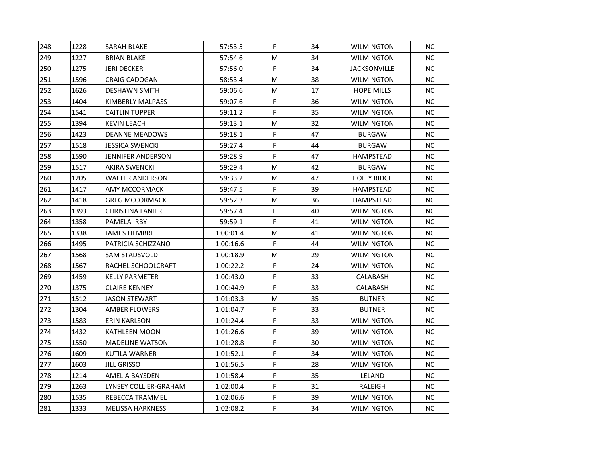| 248<br>1228<br>F<br><b>SARAH BLAKE</b><br>34<br>57:53.5<br><b>WILMINGTON</b><br>249<br>1227<br><b>BRIAN BLAKE</b><br>57:54.6<br>М<br>34<br><b>WILMINGTON</b><br>F<br>250<br>1275<br><b>JERI DECKER</b><br>57:56.0<br>34<br>JACKSONVILLE<br>251<br>1596<br><b>CRAIG CADOGAN</b><br>58:53.4<br>M<br>38<br><b>WILMINGTON</b><br>252<br>1626<br>17<br><b>DESHAWN SMITH</b><br>59:06.6<br>м<br><b>HOPE MILLS</b><br>F<br>253<br>1404<br>KIMBERLY MALPASS<br>36<br>59:07.6<br>WILMINGTON<br>F<br>1541<br>254<br><b>CAITLIN TUPPER</b><br>59:11.2<br>35<br><b>WILMINGTON</b><br>255<br>1394<br><b>KEVIN LEACH</b><br>59:13.1<br>м<br>32<br><b>WILMINGTON</b><br>F<br>256<br>1423<br>47<br><b>DEANNE MEADOWS</b><br>59:18.1<br><b>BURGAW</b><br>F<br>257<br>1518<br>44<br><b>JESSICA SWENCKI</b><br>59:27.4<br><b>BURGAW</b><br>F<br>258<br>1590<br>JENNIFER ANDERSON<br>59:28.9<br>47<br>HAMPSTEAD<br>1517<br>259<br><b>AKIRA SWENCKI</b><br>59:29.4<br>Μ<br>42<br><b>BURGAW</b><br>260<br>1205<br><b>WALTER ANDERSON</b><br>Μ<br>47<br>59:33.2<br><b>HOLLY RIDGE</b><br>F<br>261<br>1417<br>AMY MCCORMACK<br>39<br>59:47.5<br>HAMPSTEAD<br>1418<br>262<br><b>GREG MCCORMACK</b><br>Μ<br>36<br>59:52.3<br>HAMPSTEAD<br>F<br>1393<br>263<br>CHRISTINA LANIER<br>59:57.4<br>40<br>WILMINGTON<br>F<br>1358<br>264<br><b>PAMELA IRBY</b><br>59:59.1<br>41<br><b>WILMINGTON</b><br>265<br>1338<br><b>JAMES HEMBREE</b><br>1:00:01.4<br>Μ<br>41<br><b>WILMINGTON</b><br>F<br>266<br>1495<br>44<br>PATRICIA SCHIZZANO<br>1:00:16.6<br><b>WILMINGTON</b><br>267<br>1568<br><b>SAM STADSVOLD</b><br>м<br>29<br>1:00:18.9<br>WILMINGTON<br>F<br>1567<br>268<br>RACHEL SCHOOLCRAFT<br>1:00:22.2<br>24<br><b>WILMINGTON</b><br>F<br>269<br>1459<br>33<br><b>KELLY PARMETER</b><br>1:00:43.0<br>CALABASH<br>F.<br>270<br>1375<br><b>CLAIRE KENNEY</b><br>1:00:44.9<br>33<br>CALABASH<br>271<br>1512<br>Μ<br>35<br><b>JASON STEWART</b><br>1:01:03.3<br><b>BUTNER</b><br>F.<br>272<br>1304<br><b>AMBER FLOWERS</b><br>1:01:04.7<br>33<br><b>BUTNER</b><br>F<br>1583<br>273<br>33<br>ERIN KARLSON<br>1:01:24.4<br>WILMINGTON<br>F<br>274<br>1432<br>39<br>KATHLEEN MOON<br>1:01:26.6<br><b>WILMINGTON</b><br>F<br>275<br>1550<br><b>MADELINE WATSON</b><br>1:01:28.8<br>30<br><b>WILMINGTON</b><br>F<br>276<br>1609<br><b>KUTILA WARNER</b><br>1:01:52.1<br>34<br><b>WILMINGTON</b><br>F<br>277<br>1603<br>28<br>JILL GRISSO<br>1:01:56.5<br><b>WILMINGTON</b><br>F<br>278<br>1214<br>35<br>AMELIA BAYSDEN<br>1:01:58.4<br>LELAND<br>279<br>1263<br>F<br>LYNSEY COLLIER-GRAHAM<br>1:02:00.4<br>31<br>RALEIGH<br>F<br>280<br>1535<br>REBECCA TRAMMEL<br>1:02:06.6<br>39<br><b>WILMINGTON</b><br>F<br>34<br><b>MELISSA HARKNESS</b><br>1:02:08.2 |     |      |  |  |                   |     |
|--------------------------------------------------------------------------------------------------------------------------------------------------------------------------------------------------------------------------------------------------------------------------------------------------------------------------------------------------------------------------------------------------------------------------------------------------------------------------------------------------------------------------------------------------------------------------------------------------------------------------------------------------------------------------------------------------------------------------------------------------------------------------------------------------------------------------------------------------------------------------------------------------------------------------------------------------------------------------------------------------------------------------------------------------------------------------------------------------------------------------------------------------------------------------------------------------------------------------------------------------------------------------------------------------------------------------------------------------------------------------------------------------------------------------------------------------------------------------------------------------------------------------------------------------------------------------------------------------------------------------------------------------------------------------------------------------------------------------------------------------------------------------------------------------------------------------------------------------------------------------------------------------------------------------------------------------------------------------------------------------------------------------------------------------------------------------------------------------------------------------------------------------------------------------------------------------------------------------------------------------------------------------------------------------------------------------------------------------------------------------------------------------------------------------------------------------------------------------------------------------------------------------------------------------------------------------------------------------------------------------------------------------------------------------------------------------------------------------|-----|------|--|--|-------------------|-----|
|                                                                                                                                                                                                                                                                                                                                                                                                                                                                                                                                                                                                                                                                                                                                                                                                                                                                                                                                                                                                                                                                                                                                                                                                                                                                                                                                                                                                                                                                                                                                                                                                                                                                                                                                                                                                                                                                                                                                                                                                                                                                                                                                                                                                                                                                                                                                                                                                                                                                                                                                                                                                                                                                                                                          |     |      |  |  |                   | NC. |
|                                                                                                                                                                                                                                                                                                                                                                                                                                                                                                                                                                                                                                                                                                                                                                                                                                                                                                                                                                                                                                                                                                                                                                                                                                                                                                                                                                                                                                                                                                                                                                                                                                                                                                                                                                                                                                                                                                                                                                                                                                                                                                                                                                                                                                                                                                                                                                                                                                                                                                                                                                                                                                                                                                                          |     |      |  |  |                   | NC. |
|                                                                                                                                                                                                                                                                                                                                                                                                                                                                                                                                                                                                                                                                                                                                                                                                                                                                                                                                                                                                                                                                                                                                                                                                                                                                                                                                                                                                                                                                                                                                                                                                                                                                                                                                                                                                                                                                                                                                                                                                                                                                                                                                                                                                                                                                                                                                                                                                                                                                                                                                                                                                                                                                                                                          |     |      |  |  |                   | NC. |
|                                                                                                                                                                                                                                                                                                                                                                                                                                                                                                                                                                                                                                                                                                                                                                                                                                                                                                                                                                                                                                                                                                                                                                                                                                                                                                                                                                                                                                                                                                                                                                                                                                                                                                                                                                                                                                                                                                                                                                                                                                                                                                                                                                                                                                                                                                                                                                                                                                                                                                                                                                                                                                                                                                                          |     |      |  |  |                   | NC. |
|                                                                                                                                                                                                                                                                                                                                                                                                                                                                                                                                                                                                                                                                                                                                                                                                                                                                                                                                                                                                                                                                                                                                                                                                                                                                                                                                                                                                                                                                                                                                                                                                                                                                                                                                                                                                                                                                                                                                                                                                                                                                                                                                                                                                                                                                                                                                                                                                                                                                                                                                                                                                                                                                                                                          |     |      |  |  |                   | NC. |
|                                                                                                                                                                                                                                                                                                                                                                                                                                                                                                                                                                                                                                                                                                                                                                                                                                                                                                                                                                                                                                                                                                                                                                                                                                                                                                                                                                                                                                                                                                                                                                                                                                                                                                                                                                                                                                                                                                                                                                                                                                                                                                                                                                                                                                                                                                                                                                                                                                                                                                                                                                                                                                                                                                                          |     |      |  |  |                   | NC. |
|                                                                                                                                                                                                                                                                                                                                                                                                                                                                                                                                                                                                                                                                                                                                                                                                                                                                                                                                                                                                                                                                                                                                                                                                                                                                                                                                                                                                                                                                                                                                                                                                                                                                                                                                                                                                                                                                                                                                                                                                                                                                                                                                                                                                                                                                                                                                                                                                                                                                                                                                                                                                                                                                                                                          |     |      |  |  |                   | NC. |
|                                                                                                                                                                                                                                                                                                                                                                                                                                                                                                                                                                                                                                                                                                                                                                                                                                                                                                                                                                                                                                                                                                                                                                                                                                                                                                                                                                                                                                                                                                                                                                                                                                                                                                                                                                                                                                                                                                                                                                                                                                                                                                                                                                                                                                                                                                                                                                                                                                                                                                                                                                                                                                                                                                                          |     |      |  |  |                   | NC. |
|                                                                                                                                                                                                                                                                                                                                                                                                                                                                                                                                                                                                                                                                                                                                                                                                                                                                                                                                                                                                                                                                                                                                                                                                                                                                                                                                                                                                                                                                                                                                                                                                                                                                                                                                                                                                                                                                                                                                                                                                                                                                                                                                                                                                                                                                                                                                                                                                                                                                                                                                                                                                                                                                                                                          |     |      |  |  |                   | NC. |
|                                                                                                                                                                                                                                                                                                                                                                                                                                                                                                                                                                                                                                                                                                                                                                                                                                                                                                                                                                                                                                                                                                                                                                                                                                                                                                                                                                                                                                                                                                                                                                                                                                                                                                                                                                                                                                                                                                                                                                                                                                                                                                                                                                                                                                                                                                                                                                                                                                                                                                                                                                                                                                                                                                                          |     |      |  |  |                   | NC. |
|                                                                                                                                                                                                                                                                                                                                                                                                                                                                                                                                                                                                                                                                                                                                                                                                                                                                                                                                                                                                                                                                                                                                                                                                                                                                                                                                                                                                                                                                                                                                                                                                                                                                                                                                                                                                                                                                                                                                                                                                                                                                                                                                                                                                                                                                                                                                                                                                                                                                                                                                                                                                                                                                                                                          |     |      |  |  |                   | NC. |
|                                                                                                                                                                                                                                                                                                                                                                                                                                                                                                                                                                                                                                                                                                                                                                                                                                                                                                                                                                                                                                                                                                                                                                                                                                                                                                                                                                                                                                                                                                                                                                                                                                                                                                                                                                                                                                                                                                                                                                                                                                                                                                                                                                                                                                                                                                                                                                                                                                                                                                                                                                                                                                                                                                                          |     |      |  |  |                   | NC. |
|                                                                                                                                                                                                                                                                                                                                                                                                                                                                                                                                                                                                                                                                                                                                                                                                                                                                                                                                                                                                                                                                                                                                                                                                                                                                                                                                                                                                                                                                                                                                                                                                                                                                                                                                                                                                                                                                                                                                                                                                                                                                                                                                                                                                                                                                                                                                                                                                                                                                                                                                                                                                                                                                                                                          |     |      |  |  |                   | NC. |
|                                                                                                                                                                                                                                                                                                                                                                                                                                                                                                                                                                                                                                                                                                                                                                                                                                                                                                                                                                                                                                                                                                                                                                                                                                                                                                                                                                                                                                                                                                                                                                                                                                                                                                                                                                                                                                                                                                                                                                                                                                                                                                                                                                                                                                                                                                                                                                                                                                                                                                                                                                                                                                                                                                                          |     |      |  |  |                   | NC. |
|                                                                                                                                                                                                                                                                                                                                                                                                                                                                                                                                                                                                                                                                                                                                                                                                                                                                                                                                                                                                                                                                                                                                                                                                                                                                                                                                                                                                                                                                                                                                                                                                                                                                                                                                                                                                                                                                                                                                                                                                                                                                                                                                                                                                                                                                                                                                                                                                                                                                                                                                                                                                                                                                                                                          |     |      |  |  |                   | NC. |
|                                                                                                                                                                                                                                                                                                                                                                                                                                                                                                                                                                                                                                                                                                                                                                                                                                                                                                                                                                                                                                                                                                                                                                                                                                                                                                                                                                                                                                                                                                                                                                                                                                                                                                                                                                                                                                                                                                                                                                                                                                                                                                                                                                                                                                                                                                                                                                                                                                                                                                                                                                                                                                                                                                                          |     |      |  |  |                   | NC. |
|                                                                                                                                                                                                                                                                                                                                                                                                                                                                                                                                                                                                                                                                                                                                                                                                                                                                                                                                                                                                                                                                                                                                                                                                                                                                                                                                                                                                                                                                                                                                                                                                                                                                                                                                                                                                                                                                                                                                                                                                                                                                                                                                                                                                                                                                                                                                                                                                                                                                                                                                                                                                                                                                                                                          |     |      |  |  |                   | NC. |
|                                                                                                                                                                                                                                                                                                                                                                                                                                                                                                                                                                                                                                                                                                                                                                                                                                                                                                                                                                                                                                                                                                                                                                                                                                                                                                                                                                                                                                                                                                                                                                                                                                                                                                                                                                                                                                                                                                                                                                                                                                                                                                                                                                                                                                                                                                                                                                                                                                                                                                                                                                                                                                                                                                                          |     |      |  |  |                   | NC  |
|                                                                                                                                                                                                                                                                                                                                                                                                                                                                                                                                                                                                                                                                                                                                                                                                                                                                                                                                                                                                                                                                                                                                                                                                                                                                                                                                                                                                                                                                                                                                                                                                                                                                                                                                                                                                                                                                                                                                                                                                                                                                                                                                                                                                                                                                                                                                                                                                                                                                                                                                                                                                                                                                                                                          |     |      |  |  |                   | NC. |
|                                                                                                                                                                                                                                                                                                                                                                                                                                                                                                                                                                                                                                                                                                                                                                                                                                                                                                                                                                                                                                                                                                                                                                                                                                                                                                                                                                                                                                                                                                                                                                                                                                                                                                                                                                                                                                                                                                                                                                                                                                                                                                                                                                                                                                                                                                                                                                                                                                                                                                                                                                                                                                                                                                                          |     |      |  |  |                   | NC. |
|                                                                                                                                                                                                                                                                                                                                                                                                                                                                                                                                                                                                                                                                                                                                                                                                                                                                                                                                                                                                                                                                                                                                                                                                                                                                                                                                                                                                                                                                                                                                                                                                                                                                                                                                                                                                                                                                                                                                                                                                                                                                                                                                                                                                                                                                                                                                                                                                                                                                                                                                                                                                                                                                                                                          |     |      |  |  |                   | NC  |
|                                                                                                                                                                                                                                                                                                                                                                                                                                                                                                                                                                                                                                                                                                                                                                                                                                                                                                                                                                                                                                                                                                                                                                                                                                                                                                                                                                                                                                                                                                                                                                                                                                                                                                                                                                                                                                                                                                                                                                                                                                                                                                                                                                                                                                                                                                                                                                                                                                                                                                                                                                                                                                                                                                                          |     |      |  |  |                   | NC. |
|                                                                                                                                                                                                                                                                                                                                                                                                                                                                                                                                                                                                                                                                                                                                                                                                                                                                                                                                                                                                                                                                                                                                                                                                                                                                                                                                                                                                                                                                                                                                                                                                                                                                                                                                                                                                                                                                                                                                                                                                                                                                                                                                                                                                                                                                                                                                                                                                                                                                                                                                                                                                                                                                                                                          |     |      |  |  |                   | NC. |
|                                                                                                                                                                                                                                                                                                                                                                                                                                                                                                                                                                                                                                                                                                                                                                                                                                                                                                                                                                                                                                                                                                                                                                                                                                                                                                                                                                                                                                                                                                                                                                                                                                                                                                                                                                                                                                                                                                                                                                                                                                                                                                                                                                                                                                                                                                                                                                                                                                                                                                                                                                                                                                                                                                                          |     |      |  |  |                   | NC. |
|                                                                                                                                                                                                                                                                                                                                                                                                                                                                                                                                                                                                                                                                                                                                                                                                                                                                                                                                                                                                                                                                                                                                                                                                                                                                                                                                                                                                                                                                                                                                                                                                                                                                                                                                                                                                                                                                                                                                                                                                                                                                                                                                                                                                                                                                                                                                                                                                                                                                                                                                                                                                                                                                                                                          |     |      |  |  |                   | NC. |
|                                                                                                                                                                                                                                                                                                                                                                                                                                                                                                                                                                                                                                                                                                                                                                                                                                                                                                                                                                                                                                                                                                                                                                                                                                                                                                                                                                                                                                                                                                                                                                                                                                                                                                                                                                                                                                                                                                                                                                                                                                                                                                                                                                                                                                                                                                                                                                                                                                                                                                                                                                                                                                                                                                                          |     |      |  |  |                   | NC. |
|                                                                                                                                                                                                                                                                                                                                                                                                                                                                                                                                                                                                                                                                                                                                                                                                                                                                                                                                                                                                                                                                                                                                                                                                                                                                                                                                                                                                                                                                                                                                                                                                                                                                                                                                                                                                                                                                                                                                                                                                                                                                                                                                                                                                                                                                                                                                                                                                                                                                                                                                                                                                                                                                                                                          |     |      |  |  |                   | NC. |
|                                                                                                                                                                                                                                                                                                                                                                                                                                                                                                                                                                                                                                                                                                                                                                                                                                                                                                                                                                                                                                                                                                                                                                                                                                                                                                                                                                                                                                                                                                                                                                                                                                                                                                                                                                                                                                                                                                                                                                                                                                                                                                                                                                                                                                                                                                                                                                                                                                                                                                                                                                                                                                                                                                                          |     |      |  |  |                   | NC. |
|                                                                                                                                                                                                                                                                                                                                                                                                                                                                                                                                                                                                                                                                                                                                                                                                                                                                                                                                                                                                                                                                                                                                                                                                                                                                                                                                                                                                                                                                                                                                                                                                                                                                                                                                                                                                                                                                                                                                                                                                                                                                                                                                                                                                                                                                                                                                                                                                                                                                                                                                                                                                                                                                                                                          |     |      |  |  |                   | NC. |
|                                                                                                                                                                                                                                                                                                                                                                                                                                                                                                                                                                                                                                                                                                                                                                                                                                                                                                                                                                                                                                                                                                                                                                                                                                                                                                                                                                                                                                                                                                                                                                                                                                                                                                                                                                                                                                                                                                                                                                                                                                                                                                                                                                                                                                                                                                                                                                                                                                                                                                                                                                                                                                                                                                                          |     |      |  |  |                   | NC. |
|                                                                                                                                                                                                                                                                                                                                                                                                                                                                                                                                                                                                                                                                                                                                                                                                                                                                                                                                                                                                                                                                                                                                                                                                                                                                                                                                                                                                                                                                                                                                                                                                                                                                                                                                                                                                                                                                                                                                                                                                                                                                                                                                                                                                                                                                                                                                                                                                                                                                                                                                                                                                                                                                                                                          |     |      |  |  |                   | NC. |
|                                                                                                                                                                                                                                                                                                                                                                                                                                                                                                                                                                                                                                                                                                                                                                                                                                                                                                                                                                                                                                                                                                                                                                                                                                                                                                                                                                                                                                                                                                                                                                                                                                                                                                                                                                                                                                                                                                                                                                                                                                                                                                                                                                                                                                                                                                                                                                                                                                                                                                                                                                                                                                                                                                                          |     |      |  |  |                   | NC. |
|                                                                                                                                                                                                                                                                                                                                                                                                                                                                                                                                                                                                                                                                                                                                                                                                                                                                                                                                                                                                                                                                                                                                                                                                                                                                                                                                                                                                                                                                                                                                                                                                                                                                                                                                                                                                                                                                                                                                                                                                                                                                                                                                                                                                                                                                                                                                                                                                                                                                                                                                                                                                                                                                                                                          |     |      |  |  |                   | NC. |
|                                                                                                                                                                                                                                                                                                                                                                                                                                                                                                                                                                                                                                                                                                                                                                                                                                                                                                                                                                                                                                                                                                                                                                                                                                                                                                                                                                                                                                                                                                                                                                                                                                                                                                                                                                                                                                                                                                                                                                                                                                                                                                                                                                                                                                                                                                                                                                                                                                                                                                                                                                                                                                                                                                                          | 281 | 1333 |  |  | <b>WILMINGTON</b> | NC. |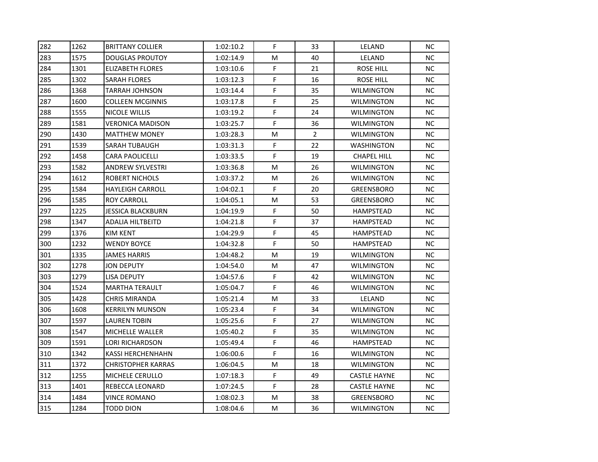| 282 | 1262 | <b>BRITTANY COLLIER</b>   | 1:02:10.2 | F. | 33             | LELAND              | NC. |
|-----|------|---------------------------|-----------|----|----------------|---------------------|-----|
| 283 | 1575 | <b>DOUGLAS PROUTOY</b>    | 1:02:14.9 | м  | 40             | LELAND              | NC. |
| 284 | 1301 | <b>ELIZABETH FLORES</b>   | 1:03:10.6 | F  | 21             | <b>ROSE HILL</b>    | NC. |
| 285 | 1302 | SARAH FLORES              | 1:03:12.3 | F  | 16             | ROSE HILL           | NC. |
| 286 | 1368 | TARRAH JOHNSON            | 1:03:14.4 | F. | 35             | <b>WILMINGTON</b>   | NC. |
| 287 | 1600 | <b>COLLEEN MCGINNIS</b>   | 1:03:17.8 | F  | 25             | <b>WILMINGTON</b>   | NC. |
| 288 | 1555 | NICOLE WILLIS             | 1:03:19.2 | F  | 24             | <b>WILMINGTON</b>   | NC. |
| 289 | 1581 | <b>VERONICA MADISON</b>   | 1:03:25.7 | F  | 36             | <b>WILMINGTON</b>   | NC  |
| 290 | 1430 | <b>MATTHEW MONEY</b>      | 1:03:28.3 | M  | $\overline{2}$ | <b>WILMINGTON</b>   | NC. |
| 291 | 1539 | SARAH TUBAUGH             | 1:03:31.3 | F  | 22             | WASHINGTON          | NC. |
| 292 | 1458 | <b>CARA PAOLICELLI</b>    | 1:03:33.5 | F  | 19             | <b>CHAPEL HILL</b>  | NC. |
| 293 | 1582 | <b>ANDREW SYLVESTRI</b>   | 1:03:36.8 | M  | 26             | <b>WILMINGTON</b>   | NC. |
| 294 | 1612 | ROBERT NICHOLS            | 1:03:37.2 | м  | 26             | <b>WILMINGTON</b>   | NC  |
| 295 | 1584 | <b>HAYLEIGH CARROLL</b>   | 1:04:02.1 | F. | 20             | <b>GREENSBORO</b>   | NC. |
| 296 | 1585 | ROY CARROLL               | 1:04:05.1 | Μ  | 53             | <b>GREENSBORO</b>   | NC. |
| 297 | 1225 | JESSICA BLACKBURN         | 1:04:19.9 | F  | 50             | HAMPSTEAD           | NC. |
| 298 | 1347 | ADALIA HILTBEITD          | 1:04:21.8 | F  | 37             | HAMPSTEAD           | NC. |
| 299 | 1376 | KIM KENT                  | 1:04:29.9 | F  | 45             | HAMPSTEAD           | NC. |
| 300 | 1232 | <b>WENDY BOYCE</b>        | 1:04:32.8 | F  | 50             | HAMPSTEAD           | NC. |
| 301 | 1335 | <b>JAMES HARRIS</b>       | 1:04:48.2 | Μ  | 19             | <b>WILMINGTON</b>   | NC. |
| 302 | 1278 | JON DEPUTY                | 1:04:54.0 | м  | 47             | WILMINGTON          | NC. |
| 303 | 1279 | <b>LISA DEPUTY</b>        | 1:04:57.6 | F. | 42             | <b>WILMINGTON</b>   | NC  |
| 304 | 1524 | <b>MARTHA TERAULT</b>     | 1:05:04.7 | F  | 46             | <b>WILMINGTON</b>   | NC. |
| 305 | 1428 | <b>CHRIS MIRANDA</b>      | 1:05:21.4 | м  | 33             | LELAND              | NC. |
| 306 | 1608 | <b>KERRILYN MUNSON</b>    | 1:05:23.4 | F  | 34             | <b>WILMINGTON</b>   | NC. |
| 307 | 1597 | LAUREN TOBIN              | 1:05:25.6 | F  | 27             | <b>WILMINGTON</b>   | NC. |
| 308 | 1547 | MICHELLE WALLER           | 1:05:40.2 | F  | 35             | <b>WILMINGTON</b>   | NC. |
| 309 | 1591 | <b>LORI RICHARDSON</b>    | 1:05:49.4 | F  | 46             | HAMPSTEAD           | NC. |
| 310 | 1342 | KASSI HERCHENHAHN         | 1:06:00.6 | F  | 16             | <b>WILMINGTON</b>   | NC. |
| 311 | 1372 | <b>CHRISTOPHER KARRAS</b> | 1:06:04.5 | Μ  | 18             | <b>WILMINGTON</b>   | NC. |
| 312 | 1255 | MICHELE CERULLO           | 1:07:18.3 | F  | 49             | <b>CASTLE HAYNE</b> | NC. |
| 313 | 1401 | REBECCA LEONARD           | 1:07:24.5 | F  | 28             | <b>CASTLE HAYNE</b> | NC. |
| 314 | 1484 | <b>VINCE ROMANO</b>       | 1:08:02.3 | M  | 38             | <b>GREENSBORO</b>   | NC. |
| 315 | 1284 | <b>TODD DION</b>          | 1:08:04.6 | м  | 36             | <b>WILMINGTON</b>   | NC. |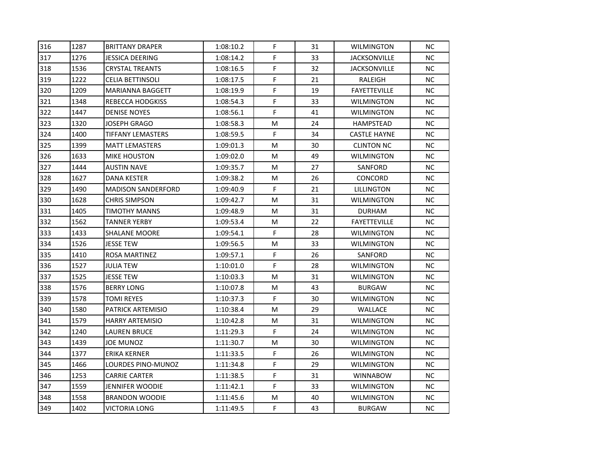| 316 | 1287 | <b>BRITTANY DRAPER</b>    | 1:08:10.2 | F. | 31 | <b>WILMINGTON</b>   | NC. |
|-----|------|---------------------------|-----------|----|----|---------------------|-----|
| 317 | 1276 | <b>JESSICA DEERING</b>    | 1:08:14.2 | F. | 33 | JACKSONVILLE        | NC. |
| 318 | 1536 | <b>CRYSTAL TREANTS</b>    | 1:08:16.5 | F  | 32 | <b>JACKSONVILLE</b> | NC. |
| 319 | 1222 | CELIA BETTINSOLI          | 1:08:17.5 | F  | 21 | RALEIGH             | NC. |
| 320 | 1209 | <b>MARIANNA BAGGETT</b>   | 1:08:19.9 | F  | 19 | <b>FAYETTEVILLE</b> | NC. |
| 321 | 1348 | <b>REBECCA HODGKISS</b>   | 1:08:54.3 | F  | 33 | WILMINGTON          | NC. |
| 322 | 1447 | <b>DENISE NOYES</b>       | 1:08:56.1 | F  | 41 | <b>WILMINGTON</b>   | NC. |
| 323 | 1320 | <b>JOSEPH GRAGO</b>       | 1:08:58.3 | M  | 24 | HAMPSTEAD           | NC. |
| 324 | 1400 | <b>TIFFANY LEMASTERS</b>  | 1:08:59.5 | F  | 34 | <b>CASTLE HAYNE</b> | NC. |
| 325 | 1399 | <b>MATT LEMASTERS</b>     | 1:09:01.3 | Μ  | 30 | <b>CLINTON NC</b>   | NC  |
| 326 | 1633 | <b>MIKE HOUSTON</b>       | 1:09:02.0 | м  | 49 | <b>WILMINGTON</b>   | NC. |
| 327 | 1444 | <b>AUSTIN NAVE</b>        | 1:09:35.7 | м  | 27 | SANFORD             | NC. |
| 328 | 1627 | DANA KESTER               | 1:09:38.2 | Μ  | 26 | <b>CONCORD</b>      | NC. |
| 329 | 1490 | <b>MADISON SANDERFORD</b> | 1:09:40.9 | F  | 21 | LILLINGTON          | NC. |
| 330 | 1628 | <b>CHRIS SIMPSON</b>      | 1:09:42.7 | M  | 31 | <b>WILMINGTON</b>   | NC. |
| 331 | 1405 | TIMOTHY MANNS             | 1:09:48.9 | М  | 31 | <b>DURHAM</b>       | NC. |
| 332 | 1562 | <b>TANNER YERBY</b>       | 1:09:53.4 | м  | 22 | <b>FAYETTEVILLE</b> | NC. |
| 333 | 1433 | <b>SHALANE MOORE</b>      | 1:09:54.1 | F  | 28 | <b>WILMINGTON</b>   | NC  |
| 334 | 1526 | <b>JESSE TEW</b>          | 1:09:56.5 | M  | 33 | <b>WILMINGTON</b>   | NC. |
| 335 | 1410 | ROSA MARTINEZ             | 1:09:57.1 | F  | 26 | SANFORD             | NC. |
| 336 | 1527 | JULIA TEW                 | 1:10:01.0 | F  | 28 | <b>WILMINGTON</b>   | NC. |
| 337 | 1525 | <b>JESSE TEW</b>          | 1:10:03.3 | М  | 31 | <b>WILMINGTON</b>   | NC. |
| 338 | 1576 | <b>BERRY LONG</b>         | 1:10:07.8 | M  | 43 | <b>BURGAW</b>       | NC. |
| 339 | 1578 | <b>TOMI REYES</b>         | 1:10:37.3 | F  | 30 | <b>WILMINGTON</b>   | NC. |
| 340 | 1580 | <b>PATRICK ARTEMISIO</b>  | 1:10:38.4 | M  | 29 | WALLACE             | NC. |
| 341 | 1579 | <b>HARRY ARTEMISIO</b>    | 1:10:42.8 | М  | 31 | WILMINGTON          | NC. |
| 342 | 1240 | <b>LAUREN BRUCE</b>       | 1:11:29.3 | F  | 24 | <b>WILMINGTON</b>   | NC. |
| 343 | 1439 | <b>JOE MUNOZ</b>          | 1:11:30.7 | М  | 30 | <b>WILMINGTON</b>   | NC. |
| 344 | 1377 | <b>ERIKA KERNER</b>       | 1:11:33.5 | F  | 26 | <b>WILMINGTON</b>   | NC. |
| 345 | 1466 | LOURDES PINO-MUNOZ        | 1:11:34.8 | F  | 29 | <b>WILMINGTON</b>   | NC. |
| 346 | 1253 | <b>CARRIE CARTER</b>      | 1:11:38.5 | F  | 31 | <b>WINNABOW</b>     | NC. |
| 347 | 1559 | <b>JENNIFER WOODIE</b>    | 1:11:42.1 | F  | 33 | WILMINGTON          | NC. |
| 348 | 1558 | <b>BRANDON WOODIE</b>     | 1:11:45.6 | Μ  | 40 | <b>WILMINGTON</b>   | NC. |
| 349 | 1402 | VICTORIA LONG             | 1:11:49.5 | F  | 43 | <b>BURGAW</b>       | NC. |
|     |      |                           |           |    |    |                     |     |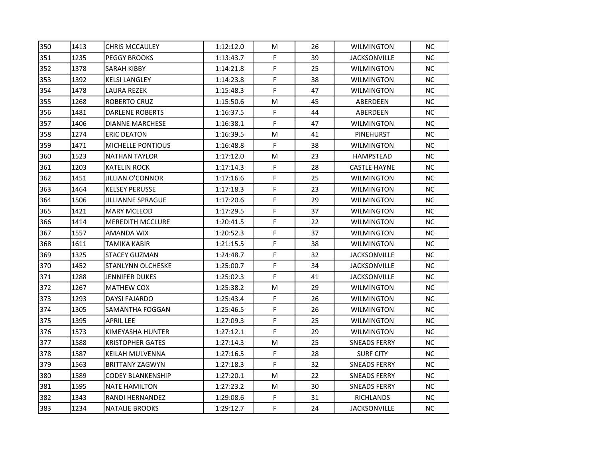| 350 | 1413 | <b>CHRIS MCCAULEY</b>    | 1:12:12.0 | М  | 26 | <b>WILMINGTON</b>   | NС        |
|-----|------|--------------------------|-----------|----|----|---------------------|-----------|
| 351 | 1235 | <b>PEGGY BROOKS</b>      | 1:13:43.7 | F  | 39 | <b>JACKSONVILLE</b> | NC.       |
| 352 | 1378 | SARAH KIBBY              | 1:14:21.8 | F  | 25 | <b>WILMINGTON</b>   | NC        |
| 353 | 1392 | KELSI LANGLEY            | 1:14:23.8 | F  | 38 | <b>WILMINGTON</b>   | NC.       |
| 354 | 1478 | LAURA REZEK              | 1:15:48.3 | F  | 47 | <b>WILMINGTON</b>   | NC.       |
| 355 | 1268 | ROBERTO CRUZ             | 1:15:50.6 | М  | 45 | ABERDEEN            | NC.       |
| 356 | 1481 | <b>DARLENE ROBERTS</b>   | 1:16:37.5 | F. | 44 | ABERDEEN            | NC.       |
| 357 | 1406 | <b>DIANNE MARCHESE</b>   | 1:16:38.1 | F. | 47 | <b>WILMINGTON</b>   | NC.       |
| 358 | 1274 | <b>ERIC DEATON</b>       | 1:16:39.5 | м  | 41 | PINEHURST           | NC.       |
| 359 | 1471 | <b>MICHELLE PONTIOUS</b> | 1:16:48.8 | F. | 38 | WILMINGTON          | <b>NC</b> |
| 360 | 1523 | <b>NATHAN TAYLOR</b>     | 1:17:12.0 | M  | 23 | HAMPSTEAD           | NC.       |
| 361 | 1203 | KATELIN ROCK             | 1:17:14.3 | F. | 28 | <b>CASTLE HAYNE</b> | NC.       |
| 362 | 1451 | JILLIAN O'CONNOR         | 1:17:16.6 | F  | 25 | <b>WILMINGTON</b>   | NC.       |
| 363 | 1464 | <b>KELSEY PERUSSE</b>    | 1:17:18.3 | F  | 23 | <b>WILMINGTON</b>   | NC.       |
| 364 | 1506 | <b>JILLIANNE SPRAGUE</b> | 1:17:20.6 | F  | 29 | <b>WILMINGTON</b>   | NC.       |
| 365 | 1421 | <b>MARY MCLEOD</b>       | 1:17:29.5 | F  | 37 | <b>WILMINGTON</b>   | NC.       |
| 366 | 1414 | <b>MEREDITH MCCLURE</b>  | 1:20:41.5 | F  | 22 | <b>WILMINGTON</b>   | NC.       |
| 367 | 1557 | AMANDA WIX               | 1:20:52.3 | F  | 37 | <b>WILMINGTON</b>   | NC.       |
| 368 | 1611 | TAMIKA KABIR             | 1:21:15.5 | F  | 38 | <b>WILMINGTON</b>   | NC.       |
| 369 | 1325 | <b>STACEY GUZMAN</b>     | 1:24:48.7 | F  | 32 | <b>JACKSONVILLE</b> | NC.       |
| 370 | 1452 | STANLYNN OLCHESKE        | 1:25:00.7 | F  | 34 | <b>JACKSONVILLE</b> | <b>NC</b> |
| 371 | 1288 | JENNIFER DUKES           | 1:25:02.3 | F. | 41 | <b>JACKSONVILLE</b> | NC        |
| 372 | 1267 | MATHEW COX               | 1:25:38.2 | М  | 29 | <b>WILMINGTON</b>   | NC.       |
| 373 | 1293 | DAYSI FAJARDO            | 1:25:43.4 | F. | 26 | <b>WILMINGTON</b>   | NC.       |
| 374 | 1305 | SAMANTHA FOGGAN          | 1:25:46.5 | F  | 26 | <b>WILMINGTON</b>   | NC.       |
| 375 | 1395 | <b>APRIL LEE</b>         | 1:27:09.3 | F  | 25 | <b>WILMINGTON</b>   | NC.       |
| 376 | 1573 | KIMEYASHA HUNTER         | 1:27:12.1 | F. | 29 | <b>WILMINGTON</b>   | NC.       |
| 377 | 1588 | <b>KRISTOPHER GATES</b>  | 1:27:14.3 | М  | 25 | SNEADS FERRY        | NC.       |
| 378 | 1587 | KEILAH MULVENNA          | 1:27:16.5 | F  | 28 | <b>SURF CITY</b>    | NC.       |
| 379 | 1563 | <b>BRITTANY ZAGWYN</b>   | 1:27:18.3 | F. | 32 | <b>SNEADS FERRY</b> | NC.       |
| 380 | 1589 | <b>CODEY BLANKENSHIP</b> | 1:27:20.1 | M  | 22 | <b>SNEADS FERRY</b> | NC.       |
| 381 | 1595 | <b>NATE HAMILTON</b>     | 1:27:23.2 | M  | 30 | <b>SNEADS FERRY</b> | <b>NC</b> |
| 382 | 1343 | RANDI HERNANDEZ          | 1:29:08.6 | F. | 31 | RICHLANDS           | NC        |
| 383 | 1234 | <b>NATALIE BROOKS</b>    | 1:29:12.7 | F. | 24 | <b>JACKSONVILLE</b> | NC.       |